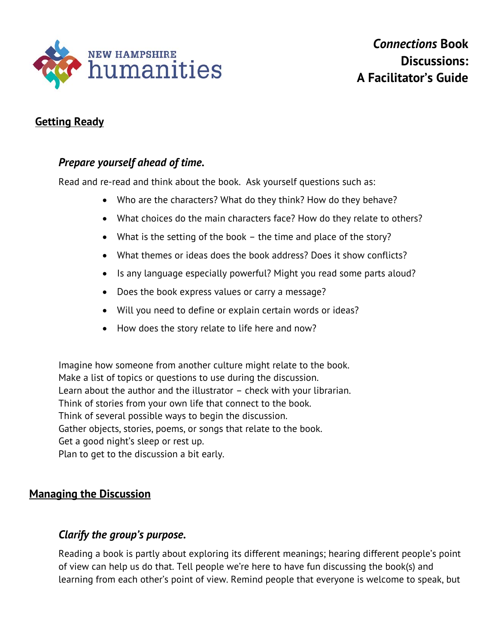

# **Getting Ready**

# *Prepare yourself ahead of time.*

Read and re-read and think about the book. Ask yourself questions such as:

- Who are the characters? What do they think? How do they behave?
- What choices do the main characters face? How do they relate to others?
- What is the setting of the book the time and place of the story?
- What themes or ideas does the book address? Does it show conflicts?
- Is any language especially powerful? Might you read some parts aloud?
- Does the book express values or carry a message?
- Will you need to define or explain certain words or ideas?
- How does the story relate to life here and now?

Imagine how someone from another culture might relate to the book. Make a list of topics or questions to use during the discussion. Learn about the author and the illustrator – check with your librarian. Think of stories from your own life that connect to the book. Think of several possible ways to begin the discussion. Gather objects, stories, poems, or songs that relate to the book. Get a good night's sleep or rest up. Plan to get to the discussion a bit early.

## **Managing the Discussion**

## *Clarify the group's purpose.*

Reading a book is partly about exploring its different meanings; hearing different people's point of view can help us do that. Tell people we're here to have fun discussing the book(s) and learning from each other's point of view. Remind people that everyone is welcome to speak, but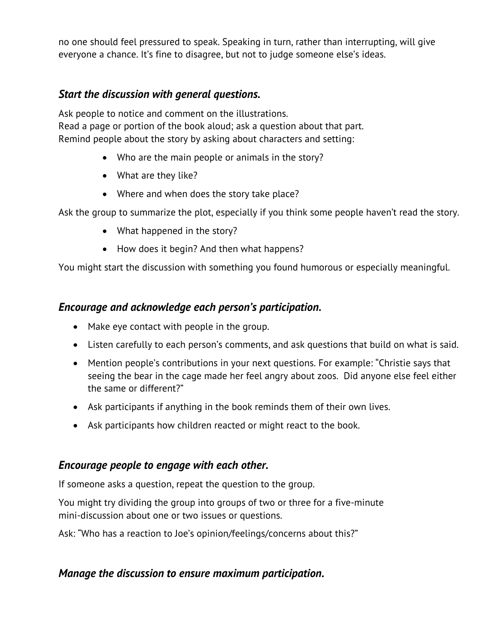no one should feel pressured to speak. Speaking in turn, rather than interrupting, will give everyone a chance. It's fine to disagree, but not to judge someone else's ideas.

# *Start the discussion with general questions.*

Ask people to notice and comment on the illustrations. Read a page or portion of the book aloud; ask a question about that part. Remind people about the story by asking about characters and setting:

- Who are the main people or animals in the story?
- What are they like?
- Where and when does the story take place?

Ask the group to summarize the plot, especially if you think some people haven't read the story.

- What happened in the story?
- How does it begin? And then what happens?

You might start the discussion with something you found humorous or especially meaningful.

# *Encourage and acknowledge each person's participation.*

- Make eye contact with people in the group.
- Listen carefully to each person's comments, and ask questions that build on what is said.
- Mention people's contributions in your next questions. For example: "Christie says that seeing the bear in the cage made her feel angry about zoos. Did anyone else feel either the same or different?"
- Ask participants if anything in the book reminds them of their own lives.
- Ask participants how children reacted or might react to the book.

## *Encourage people to engage with each other.*

If someone asks a question, repeat the question to the group.

You might try dividing the group into groups of two or three for a five-minute mini-discussion about one or two issues or questions.

Ask: "Who has a reaction to Joe's opinion/feelings/concerns about this?"

## *Manage the discussion to ensure maximum participation.*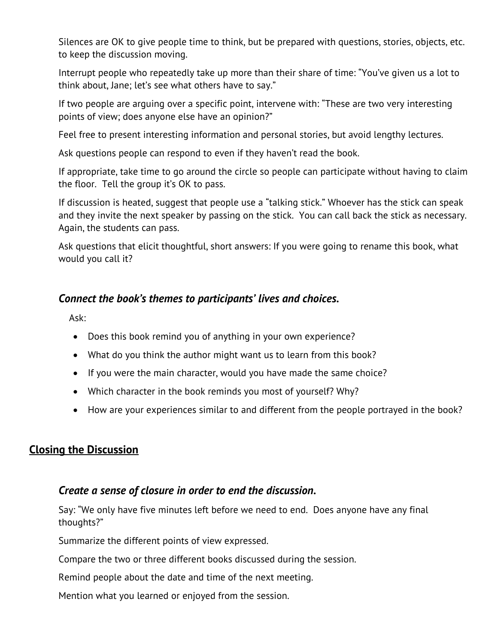Silences are OK to give people time to think, but be prepared with questions, stories, objects, etc. to keep the discussion moving.

Interrupt people who repeatedly take up more than their share of time: "You've given us a lot to think about, Jane; let's see what others have to say."

If two people are arguing over a specific point, intervene with: "These are two very interesting points of view; does anyone else have an opinion?"

Feel free to present interesting information and personal stories, but avoid lengthy lectures.

Ask questions people can respond to even if they haven't read the book.

If appropriate, take time to go around the circle so people can participate without having to claim the floor. Tell the group it's OK to pass.

If discussion is heated, suggest that people use a "talking stick." Whoever has the stick can speak and they invite the next speaker by passing on the stick. You can call back the stick as necessary. Again, the students can pass.

Ask questions that elicit thoughtful, short answers: If you were going to rename this book, what would you call it?

## *Connect the book's themes to participants' lives and choices.*

Ask:

- Does this book remind you of anything in your own experience?
- What do you think the author might want us to learn from this book?
- If you were the main character, would you have made the same choice?
- Which character in the book reminds you most of yourself? Why?
- How are your experiences similar to and different from the people portrayed in the book?

## **Closing the Discussion**

## *Create a sense of closure in order to end the discussion.*

Say: "We only have five minutes left before we need to end. Does anyone have any final thoughts?"

Summarize the different points of view expressed.

Compare the two or three different books discussed during the session.

Remind people about the date and time of the next meeting.

Mention what you learned or enjoyed from the session.